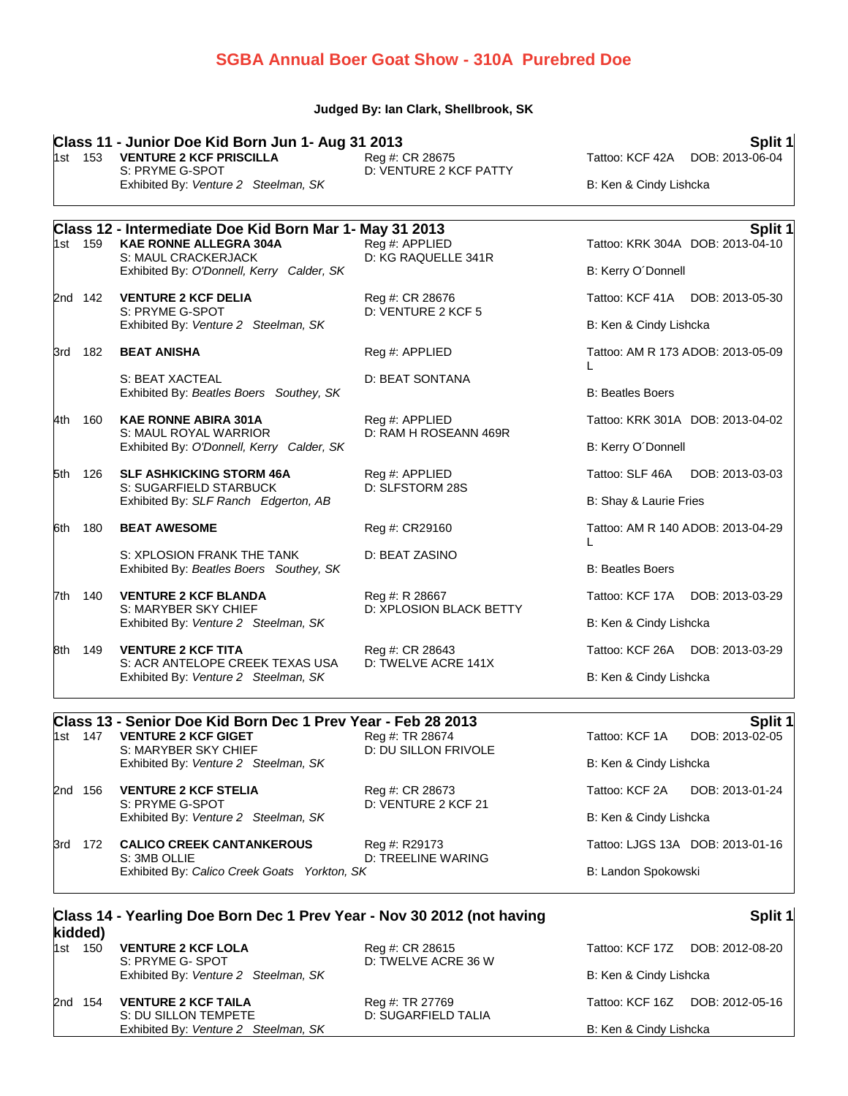## **SGBA Annual Boer Goat Show - 310A Purebred Doe**

#### **Judged By: Ian Clark, Shellbrook, SK**

|      |         | Class 11 - Junior Doe Kid Born Jun 1- Aug 31 2013                                                 |                                           | Split 1                                                |
|------|---------|---------------------------------------------------------------------------------------------------|-------------------------------------------|--------------------------------------------------------|
|      | 1st 153 | <b>VENTURE 2 KCF PRISCILLA</b><br>S: PRYME G-SPOT                                                 | Reg #: CR 28675<br>D: VENTURE 2 KCF PATTY | Tattoo: KCF 42A DOB: 2013-06-04                        |
|      |         | Exhibited By: Venture 2 Steelman, SK                                                              |                                           | B: Ken & Cindy Lishcka                                 |
|      |         | Class 12 - Intermediate Doe Kid Born Mar 1- May 31 2013                                           |                                           | Split 1                                                |
|      | 1st 159 | <b>KAE RONNE ALLEGRA 304A</b><br>S: MAUL CRACKERJACK<br>Exhibited By: O'Donnell, Kerry Calder, SK | Reg #: APPLIED<br>D: KG RAQUELLE 341R     | Tattoo: KRK 304A DOB: 2013-04-10<br>B: Kerry O'Donnell |
|      |         |                                                                                                   |                                           |                                                        |
|      | 2nd 142 | <b>VENTURE 2 KCF DELIA</b><br>S: PRYME G-SPOT                                                     | Reg #: CR 28676<br>D: VENTURE 2 KCF 5     | Tattoo: KCF 41A DOB: 2013-05-30                        |
|      |         | Exhibited By: Venture 2 Steelman, SK                                                              |                                           | B: Ken & Cindy Lishcka                                 |
|      | 3rd 182 | <b>BEAT ANISHA</b>                                                                                | Reg #: APPLIED                            | Tattoo: AM R 173 ADOB: 2013-05-09<br>L                 |
|      |         | S: BEAT XACTEAL<br>Exhibited By: Beatles Boers Southey, SK                                        | D: BEAT SONTANA                           | <b>B: Beatles Boers</b>                                |
| 4th  | 160     | <b>KAE RONNE ABIRA 301A</b><br>S: MAUL ROYAL WARRIOR<br>Exhibited By: O'Donnell, Kerry Calder, SK | Reg #: APPLIED<br>D: RAM H ROSEANN 469R   | Tattoo: KRK 301A DOB: 2013-04-02                       |
|      |         |                                                                                                   |                                           | B: Kerry O'Donnell                                     |
| 5th  | 126     | <b>SLF ASHKICKING STORM 46A</b><br>S: SUGARFIELD STARBUCK<br>Exhibited By: SLF Ranch Edgerton, AB | Reg #: APPLIED<br>D: SLFSTORM 28S         | Tattoo: SLF 46A<br>DOB: 2013-03-03                     |
|      |         |                                                                                                   |                                           | B: Shay & Laurie Fries                                 |
| 6th  | 180     | <b>BEAT AWESOME</b>                                                                               | Reg #: CR29160                            | Tattoo: AM R 140 ADOB: 2013-04-29<br>L                 |
|      |         | S: XPLOSION FRANK THE TANK<br>Exhibited By: Beatles Boers Southey, SK                             | D: BEAT ZASINO                            | <b>B: Beatles Boers</b>                                |
|      | 7th 140 | <b>VENTURE 2 KCF BLANDA</b><br>S: MARYBER SKY CHIEF                                               | Reg #: R 28667<br>D: XPLOSION BLACK BETTY | Tattoo: KCF 17A DOB: 2013-03-29                        |
|      |         | Exhibited By: Venture 2 Steelman, SK                                                              |                                           | B: Ken & Cindy Lishcka                                 |
| l8th | 149     | <b>VENTURE 2 KCF TITA</b>                                                                         | Reg #: CR 28643<br>D: TWELVE ACRE 141X    | Tattoo: KCF 26A DOB: 2013-03-29                        |
|      |         | S: ACR ANTELOPE CREEK TEXAS USA<br>Exhibited By: Venture 2 Steelman, SK                           |                                           | B: Ken & Cindy Lishcka                                 |
|      |         | Class 13 - Senior Doe Kid Born Dec 1 Prev Year - Feb 28 2013                                      |                                           | Split 1                                                |
|      | 1st 147 | <b>VENTURE 2 KCF GIGET</b><br>S: MARYBER SKY CHIEF                                                | Reg #: TR 28674<br>D: DU SILLON FRIVOLE   | Tattoo: KCF 1A<br>DOB: 2013-02-05                      |
|      |         | Exhibited By: Venture 2 Steelman, SK                                                              |                                           | B: Ken & Cindy Lishcka                                 |
|      | 2nd 156 | <b>VENTURE 2 KCF STELIA</b><br>S: PRYME G-SPOT                                                    | Reg #: CR 28673<br>D: VENTURE 2 KCF 21    | Tattoo: KCF 2A<br>DOB: 2013-01-24                      |

3rd 172 **CALICO CREEK CANTANKEROUS** Reg #: R29173 Tattoo: LJGS 13A DOB: 2013-01-16 S: 3MB OLLIE D: TREELINE WARING

Exhibited By: *Venture 2 Steelman, SK* B: Ken & Cindy Lishcka

| S: 3MB OLLIE                                 | D: TREELINE WARING |                     |
|----------------------------------------------|--------------------|---------------------|
| Exhibited By: Calico Creek Goats Yorkton, SK |                    | B: Landon Spokowski |

| kidded) | Class 14 - Yearling Doe Born Dec 1 Prev Year - Nov 30 2012 (not having |                                        |                        | Split 1                         |
|---------|------------------------------------------------------------------------|----------------------------------------|------------------------|---------------------------------|
| 1st 150 | <b>VENTURE 2 KCF LOLA</b><br>S: PRYME G- SPOT                          | Reg #: CR 28615<br>D: TWELVE ACRE 36 W |                        | Tattoo: KCF 17Z DOB: 2012-08-20 |
|         | Exhibited By: Venture 2 Steelman, SK                                   |                                        | B: Ken & Cindy Lishcka |                                 |
| 2nd 154 | <b>VENTURE 2 KCF TAILA</b><br>S: DU SILLON TEMPETE                     | Reg #: TR 27769<br>D: SUGARFIELD TALIA |                        | Tattoo: KCF 16Z DOB: 2012-05-16 |
|         | Exhibited By: Venture 2 Steelman, SK                                   |                                        | B: Ken & Cindy Lishcka |                                 |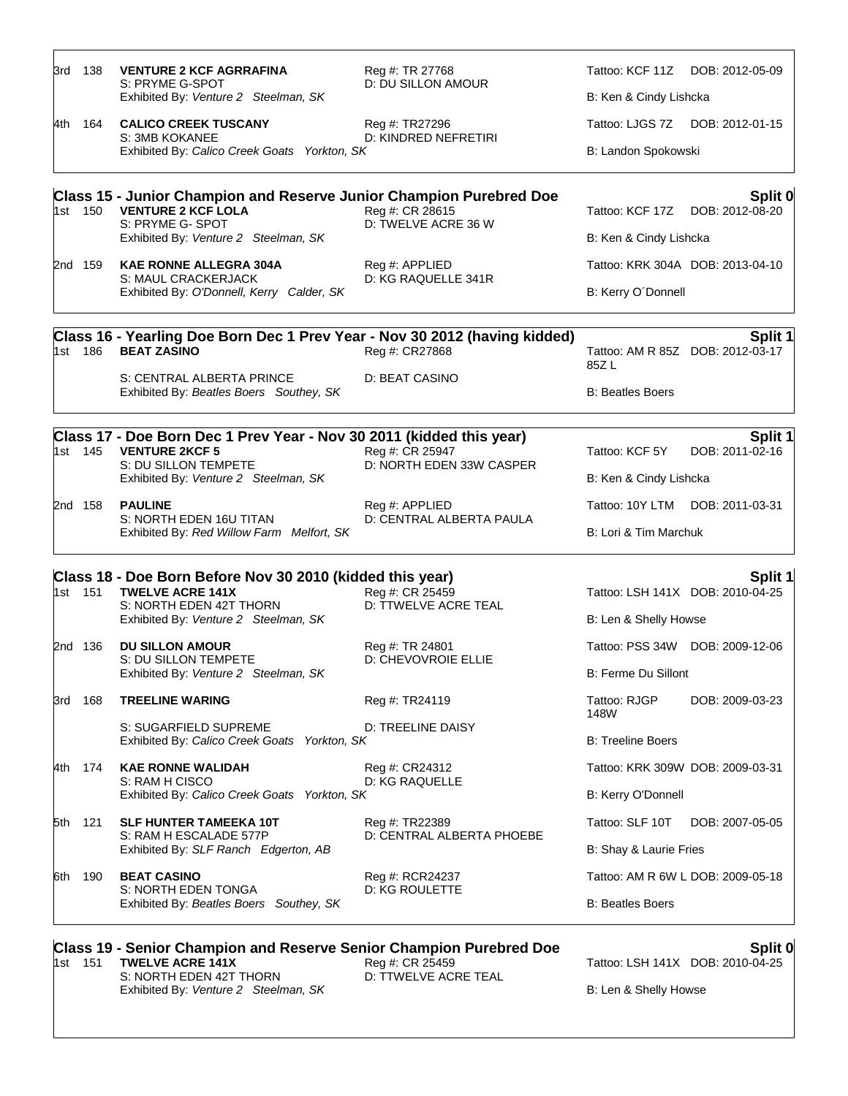|     | 1st 151 | Class 19 - Senior Champion and Reserve Senior Champion Purebred Doe<br><b>TWELVE ACRE 141X</b>                        | Reg #: CR 25459                               | Tattoo: LSH 141X DOB: 2010-04-25  | Split 0                                     |
|-----|---------|-----------------------------------------------------------------------------------------------------------------------|-----------------------------------------------|-----------------------------------|---------------------------------------------|
|     |         | S: NORTH EDEN TONGA<br>Exhibited By: Beatles Boers Southey, SK                                                        | D: KG ROULETTE                                | <b>B: Beatles Boers</b>           |                                             |
| 6th | 190     | <b>BEAT CASINO</b>                                                                                                    | Reg #: RCR24237                               | Tattoo: AM R 6W L DOB: 2009-05-18 |                                             |
|     |         | S: RAM H ESCALADE 577P<br>Exhibited By: SLF Ranch Edgerton, AB                                                        | D: CENTRAL ALBERTA PHOEBE                     | B: Shay & Laurie Fries            |                                             |
| 5th | 121     | <b>SLF HUNTER TAMEEKA 10T</b>                                                                                         | Reg #: TR22389                                | Tattoo: SLF 10T                   | DOB: 2007-05-05                             |
|     |         | S: RAM H CISCO<br>Exhibited By: Calico Creek Goats Yorkton, SK                                                        | <b>D: KG RAQUELLE</b>                         | B: Kerry O'Donnell                |                                             |
| 4th | 174     | <b>KAE RONNE WALIDAH</b>                                                                                              | Reg #: CR24312                                | Tattoo: KRK 309W DOB: 2009-03-31  |                                             |
|     |         | S: SUGARFIELD SUPREME<br>Exhibited By: Calico Creek Goats Yorkton, SK                                                 | D: TREELINE DAISY                             | <b>B: Treeline Boers</b>          |                                             |
| 3rd | 168     | <b>TREELINE WARING</b>                                                                                                | Reg #: TR24119                                | Tattoo: RJGP<br>148W              | DOB: 2009-03-23                             |
|     |         | Exhibited By: Venture 2 Steelman, SK                                                                                  |                                               | B: Ferme Du Sillont               |                                             |
|     | 2nd 136 | <b>DU SILLON AMOUR</b><br>S: DU SILLON TEMPETE                                                                        | Reg #: TR 24801<br>D: CHEVOVROIE ELLIE        |                                   | Tattoo: PSS 34W DOB: 2009-12-06             |
|     |         | S: NORTH EDEN 42T THORN<br>Exhibited By: Venture 2 Steelman, SK                                                       |                                               | B: Len & Shelly Howse             |                                             |
|     | 1st 151 | Class 18 - Doe Born Before Nov 30 2010 (kidded this year)<br><b>TWELVE ACRE 141X</b>                                  | Reg #: CR 25459<br>D: TTWELVE ACRE TEAL       | Tattoo: LSH 141X DOB: 2010-04-25  | Split 1                                     |
|     |         | Exhibited By: Red Willow Farm Melfort, SK                                                                             |                                               | B: Lori & Tim Marchuk             |                                             |
|     | 2nd 158 | <b>PAULINE</b><br>S: NORTH EDEN 16U TITAN                                                                             | Reg #: APPLIED<br>D: CENTRAL ALBERTA PAULA    | Tattoo: 10Y LTM DOB: 2011-03-31   |                                             |
|     |         | Exhibited By: Venture 2 Steelman, SK                                                                                  |                                               | B: Ken & Cindy Lishcka            |                                             |
|     | 1st 145 | Class 17 - Doe Born Dec 1 Prev Year - Nov 30 2011 (kidded this year)<br><b>VENTURE 2KCF 5</b><br>S: DU SILLON TEMPETE | Reg #: CR 25947<br>D: NORTH EDEN 33W CASPER   | Tattoo: KCF 5Y                    | Split 1<br>DOB: 2011-02-16                  |
|     |         | S: CENTRAL ALBERTA PRINCE<br>Exhibited By: Beatles Boers Southey, SK                                                  | D: BEAT CASINO                                | <b>B: Beatles Boers</b>           |                                             |
|     | 1st 186 | Class 16 - Yearling Doe Born Dec 1 Prev Year - Nov 30 2012 (having kidded)<br><b>BEAT ZASINO</b>                      | Reg #: CR27868                                | 85Z L                             | Split 1<br>Tattoo: AM R 85Z DOB: 2012-03-17 |
|     |         |                                                                                                                       |                                               |                                   |                                             |
|     |         | S: MAUL CRACKERJACK<br>Exhibited By: O'Donnell, Kerry Calder, SK                                                      | D: KG RAQUELLE 341R                           | B: Kerry O'Donnell                |                                             |
|     | 2nd 159 | <b>KAE RONNE ALLEGRA 304A</b>                                                                                         | Reg #: APPLIED                                |                                   | Tattoo: KRK 304A DOB: 2013-04-10            |
|     |         | S: PRYME G- SPOT<br>Exhibited By: Venture 2 Steelman, SK                                                              | D: TWELVE ACRE 36 W                           | B: Ken & Cindy Lishcka            |                                             |
|     | 1st 150 | <b>Class 15 - Junior Champion and Reserve Junior Champion Purebred Doe</b><br><b>VENTURE 2 KCF LOLA</b>               | Reg #: CR 28615                               | Tattoo: KCF 17Z                   | Split 0<br>DOB: 2012-08-20                  |
|     |         | Exhibited By: Calico Creek Goats Yorkton, SK                                                                          |                                               | B: Landon Spokowski               |                                             |
| 4th | 164     | <b>CALICO CREEK TUSCANY</b><br>S: 3MB KOKANEE                                                                         | Reg #: TR27296<br><b>D: KINDRED NEFRETIRI</b> | Tattoo: LJGS 7Z DOB: 2012-01-15   |                                             |
|     |         | Exhibited By: Venture 2 Steelman, SK                                                                                  |                                               | B: Ken & Cindy Lishcka            |                                             |
| 3rd | 138     | <b>VENTURE 2 KCF AGRRAFINA</b><br>S: PRYME G-SPOT                                                                     | Reg #: TR 27768<br><b>D: DU SILLON AMOUR</b>  | Tattoo: KCF 11Z DOB: 2012-05-09   |                                             |

S: NORTH EDEN 42T THORN D: TTWELVE ACRE TEAL Exhibited By: Venture 2 Steelman, SK B: Len & Shelly Howse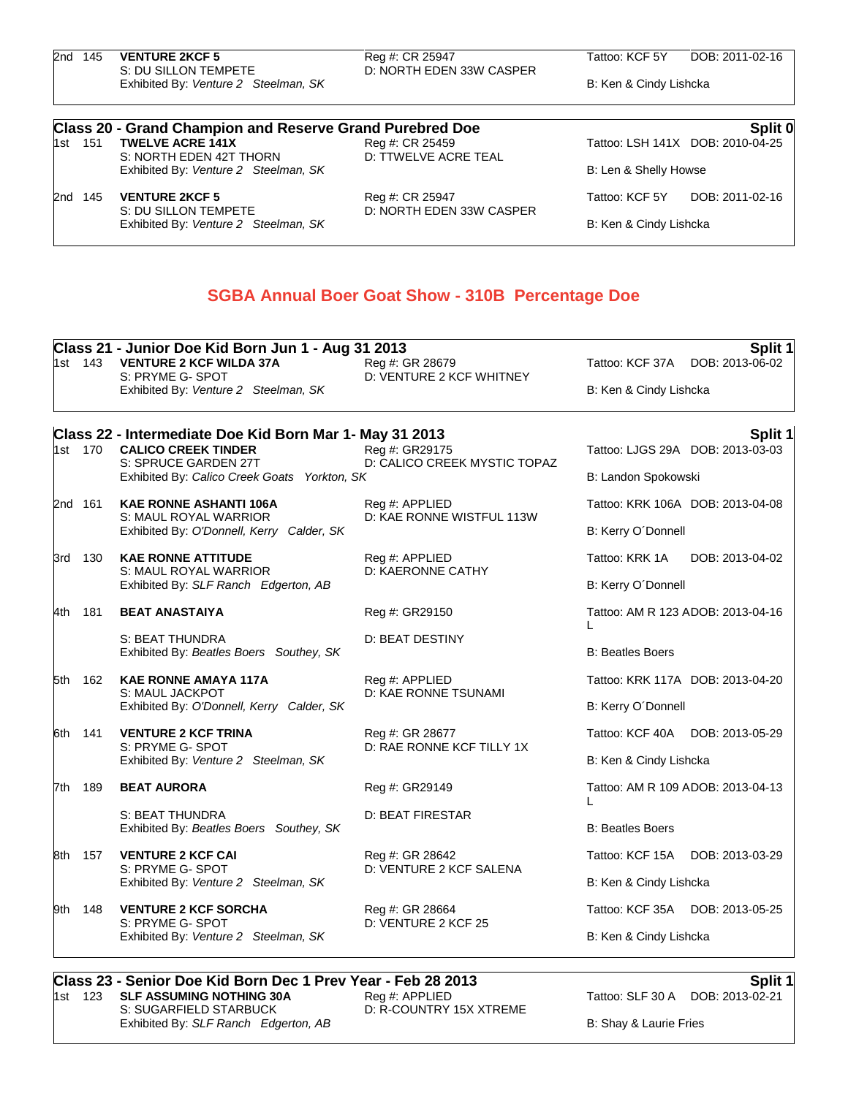| 2nd 145 | <b>VENTURE 2KCF 5</b><br>S: DU SILLON TEMPETE                   | Reg #: CR 25947<br>D: NORTH EDEN 33W CASPER             | Tattoo: KCF 5Y         | DOB: 2011-02-16                  |
|---------|-----------------------------------------------------------------|---------------------------------------------------------|------------------------|----------------------------------|
|         | Exhibited By: Venture 2 Steelman, SK                            |                                                         | B: Ken & Cindy Lishcka |                                  |
|         | <b>Class 20 - Grand Champion and Reserve Grand Purebred Doe</b> |                                                         |                        | Split 0                          |
| 1st 151 | <b>TWELVE ACRE 141X</b>                                         | Reg #: CR 25459                                         |                        | Tattoo: LSH 141X DOB: 2010-04-25 |
|         | S: NORTH EDEN 42T THORN<br>Exhibited By: Venture 2 Steelman, SK | D: TTWELVE ACRE TEAL                                    | B: Len & Shelly Howse  |                                  |
| 2nd 145 | <b>VENTURE 2KCF 5</b><br>S: DU SILLON TEMPETE                   | Reg #: CR 25947<br>D: NORTH EDEN 33W CASPER             | Tattoo: KCF 5Y         | DOB: 2011-02-16                  |
|         | Exhibited By: Venture 2 Steelman, SK                            |                                                         | B: Ken & Cindy Lishcka |                                  |
|         |                                                                 |                                                         |                        |                                  |
|         |                                                                 | <b>SGBA Annual Boer Goat Show - 310B Percentage Doe</b> |                        |                                  |
|         |                                                                 |                                                         |                        |                                  |

|  | Class 21 - Junior Doe Kid Born Jun 1 - Aug 31 2013<br>Split 1 |                                                                                             |                                                |                                   |  |
|--|---------------------------------------------------------------|---------------------------------------------------------------------------------------------|------------------------------------------------|-----------------------------------|--|
|  |                                                               | 1st 143 VENTURE 2 KCF WILDA 37A<br>S: PRYME G- SPOT                                         | Reg #: GR 28679<br>D: VENTURE 2 KCF WHITNEY    | Tattoo: KCF 37A DOB: 2013-06-02   |  |
|  |                                                               | Exhibited By: Venture 2 Steelman, SK                                                        |                                                | B: Ken & Cindy Lishcka            |  |
|  |                                                               | Class 22 - Intermediate Doe Kid Born Mar 1- May 31 2013                                     |                                                | Split 1                           |  |
|  | 1st 170                                                       | <b>CALICO CREEK TINDER</b><br>S: SPRUCE GARDEN 27T                                          | Reg #: GR29175<br>D: CALICO CREEK MYSTIC TOPAZ | Tattoo: LJGS 29A DOB: 2013-03-03  |  |
|  |                                                               | Exhibited By: Calico Creek Goats Yorkton, SK                                                |                                                | B: Landon Spokowski               |  |
|  | 2nd 161                                                       | <b>KAE RONNE ASHANTI 106A</b>                                                               | Reg #: APPLIED<br>D: KAE RONNE WISTFUL 113W    | Tattoo: KRK 106A DOB: 2013-04-08  |  |
|  |                                                               | S: MAUL ROYAL WARRIOR<br>Exhibited By: O'Donnell, Kerry Calder, SK                          |                                                | B: Kerry O'Donnell                |  |
|  | 3rd 130                                                       | <b>KAE RONNE ATTITUDE</b>                                                                   | Reg #: APPLIED                                 | Tattoo: KRK 1A<br>DOB: 2013-04-02 |  |
|  |                                                               | S: MAUL ROYAL WARRIOR<br>Exhibited By: SLF Ranch Edgerton, AB                               | D: KAERONNE CATHY                              | B: Kerry O'Donnell                |  |
|  | 4th 181                                                       | <b>BEAT ANASTAIYA</b>                                                                       | Reg #: GR29150                                 | Tattoo: AM R 123 ADOB: 2013-04-16 |  |
|  |                                                               | S: BEAT THUNDRA<br>Exhibited By: Beatles Boers Southey, SK                                  | D: BEAT DESTINY                                | L<br><b>B: Beatles Boers</b>      |  |
|  | 5th 162                                                       | <b>KAE RONNE AMAYA 117A</b><br>S: MAUL JACKPOT<br>Exhibited By: O'Donnell, Kerry Calder, SK | Reg #: APPLIED<br>D: KAE RONNE TSUNAMI         | Tattoo: KRK 117A DOB: 2013-04-20  |  |
|  |                                                               |                                                                                             |                                                | B: Kerry O'Donnell                |  |
|  | 6th 141                                                       | <b>VENTURE 2 KCF TRINA</b>                                                                  | Reg #: GR 28677                                | Tattoo: KCF 40A DOB: 2013-05-29   |  |
|  |                                                               | S: PRYME G- SPOT<br>Exhibited By: Venture 2 Steelman, SK                                    | D: RAE RONNE KCF TILLY 1X                      | B: Ken & Cindy Lishcka            |  |
|  | 7th 189                                                       | <b>BEAT AURORA</b>                                                                          | Reg #: GR29149                                 | Tattoo: AM R 109 ADOB: 2013-04-13 |  |
|  |                                                               | S: BEAT THUNDRA                                                                             | <b>D: BEAT FIRESTAR</b>                        | L                                 |  |
|  |                                                               | Exhibited By: Beatles Boers Southey, SK                                                     |                                                | <b>B: Beatles Boers</b>           |  |
|  | 8th 157                                                       | <b>VENTURE 2 KCF CAI</b><br>S: PRYME G- SPOT                                                | Reg #: GR 28642<br>D: VENTURE 2 KCF SALENA     | Tattoo: KCF 15A DOB: 2013-03-29   |  |
|  |                                                               | Exhibited By: Venture 2 Steelman, SK                                                        |                                                | B: Ken & Cindy Lishcka            |  |
|  | 9th 148                                                       | <b>VENTURE 2 KCF SORCHA</b>                                                                 | Reg #: GR 28664                                | Tattoo: KCF 35A DOB: 2013-05-25   |  |
|  |                                                               | S: PRYME G- SPOT<br>Exhibited By: Venture 2 Steelman, SK                                    | D: VENTURE 2 KCF 25                            | B: Ken & Cindy Lishcka            |  |
|  |                                                               |                                                                                             |                                                |                                   |  |

## **Class 23 - Senior Doe Kid Born Dec 1 Prev Year - Feb 28 2013 Split 1 Split 1 Instead 123 SLE ASSUMING NOTHING 30A Reg**#: APPLIED **Subset 1 Split 1 Subset 123 SLF 30 A DOB: 2013-02-21 Subset 2013-02-21** 1st 123 **SLF ASSUMING NOTHING 30A**<br>S: SUGARFIELD STARBUCK Exhibited By: *SLF Ranch Edgerton, AB* B: Shay & Laurie Fries

D: R-COUNTRY 15X XTREME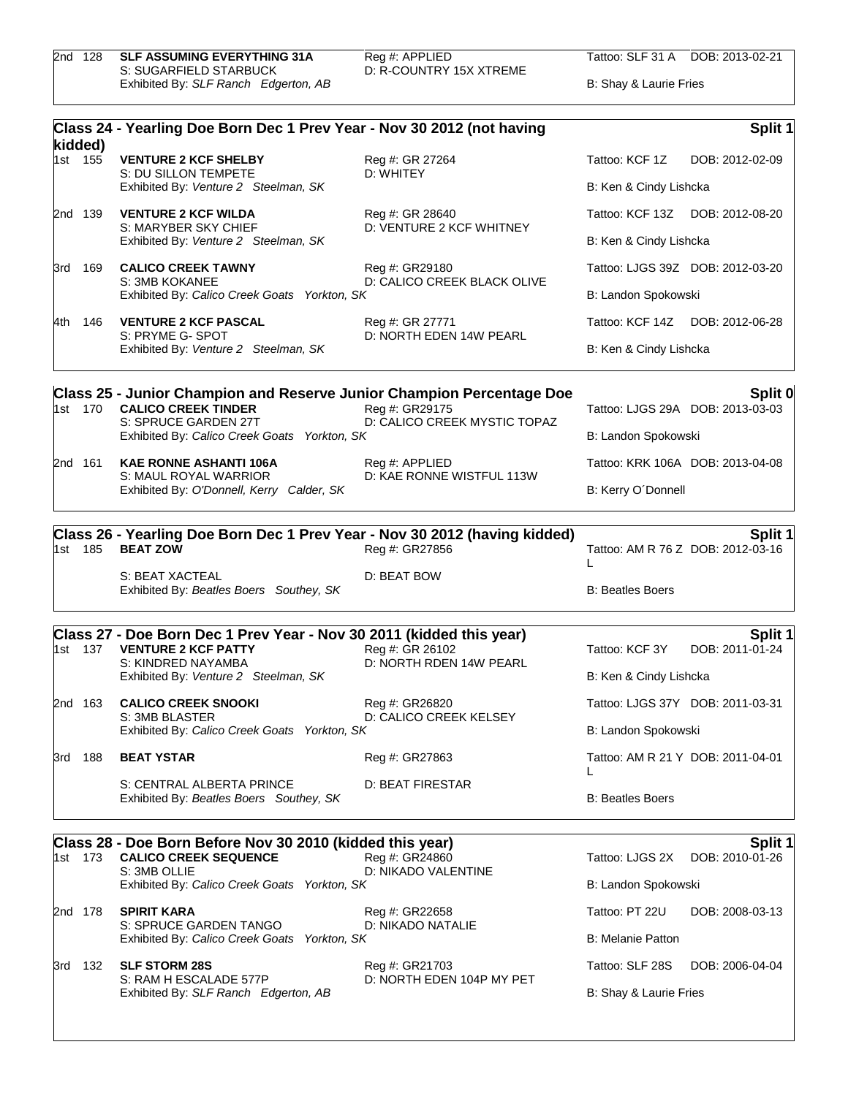2nd 128 **SLF ASSUMING EVERYTHING 31A** Reg #: APPLIED Tattoo: SLF 31 A DOB: 2013-02-21<br>S: SUGARFIELD STARBUCK D: R-COUNTRY 15X XTREME Reg #: APPLIED<br>D: R-COUNTRY 15X XTREME Exhibited By: *SLF Ranch Edgerton, AB* B: Shay & Laurie Fries

|       |                    | Class 24 - Yearling Doe Born Dec 1 Prev Year - Nov 30 2012 (not having       |                                                |                                        | Split 1                           |
|-------|--------------------|------------------------------------------------------------------------------|------------------------------------------------|----------------------------------------|-----------------------------------|
|       | kidded)<br>1st 155 | <b>VENTURE 2 KCF SHELBY</b>                                                  | Reg #: GR 27264                                | Tattoo: KCF 1Z                         | DOB: 2012-02-09                   |
|       |                    | S: DU SILLON TEMPETE<br>Exhibited By: Venture 2 Steelman, SK                 | D: WHITEY                                      | B: Ken & Cindy Lishcka                 |                                   |
|       | 2nd 139            | <b>VENTURE 2 KCF WILDA</b>                                                   | Reg #: GR 28640                                | Tattoo: KCF 13Z DOB: 2012-08-20        |                                   |
|       |                    | S: MARYBER SKY CHIEF<br>Exhibited By: Venture 2 Steelman, SK                 | D: VENTURE 2 KCF WHITNEY                       | B: Ken & Cindy Lishcka                 |                                   |
|       | 3rd 169            | <b>CALICO CREEK TAWNY</b>                                                    | Reg #: GR29180                                 | Tattoo: LJGS 39Z DOB: 2012-03-20       |                                   |
|       |                    | S: 3MB KOKANEE<br>Exhibited By: Calico Creek Goats Yorkton, SK               | D: CALICO CREEK BLACK OLIVE                    | B: Landon Spokowski                    |                                   |
| 4th - | 146                | <b>VENTURE 2 KCF PASCAL</b>                                                  | Reg #: GR 27771                                | Tattoo: KCF 14Z DOB: 2012-06-28        |                                   |
|       |                    | S: PRYME G- SPOT<br>Exhibited By: Venture 2 Steelman, SK                     | D: NORTH EDEN 14W PEARL                        | B: Ken & Cindy Lishcka                 |                                   |
|       |                    | <b>Class 25 - Junior Champion and Reserve Junior Champion Percentage Doe</b> |                                                |                                        | Split 0                           |
|       | 1st 170            | <b>CALICO CREEK TINDER</b><br>S: SPRUCE GARDEN 27T                           | Reg #: GR29175<br>D: CALICO CREEK MYSTIC TOPAZ |                                        | Tattoo: LJGS 29A DOB: 2013-03-03  |
|       |                    | Exhibited By: Calico Creek Goats Yorkton, SK                                 |                                                | B: Landon Spokowski                    |                                   |
|       | 2nd 161            | <b>KAE RONNE ASHANTI 106A</b><br>S: MAUL ROYAL WARRIOR                       | Reg #: APPLIED<br>D: KAE RONNE WISTFUL 113W    |                                        | Tattoo: KRK 106A DOB: 2013-04-08  |
|       |                    | Exhibited By: O'Donnell, Kerry Calder, SK                                    |                                                | B: Kerry O'Donnell                     |                                   |
|       |                    | Class 26 - Yearling Doe Born Dec 1 Prev Year - Nov 30 2012 (having kidded)   |                                                |                                        | Split 1                           |
|       | 1st 185            | <b>BEAT ZOW</b>                                                              | Reg #: GR27856                                 | L                                      | Tattoo: AM R 76 Z DOB: 2012-03-16 |
|       |                    | S: BEAT XACTEAL<br>Exhibited By: Beatles Boers Southey, SK                   | D: BEAT BOW                                    | <b>B: Beatles Boers</b>                |                                   |
|       |                    | Class 27 - Doe Born Dec 1 Prev Year - Nov 30 2011 (kidded this year)         |                                                |                                        | Split 1                           |
|       | 1st 137            | <b>VENTURE 2 KCF PATTY</b><br>S: KINDRED NAYAMBA                             | Reg #: GR 26102<br>D: NORTH RDEN 14W PEARL     | Tattoo: KCF 3Y                         | DOB: 2011-01-24                   |
|       |                    | Exhibited By: Venture 2 Steelman, SK                                         |                                                | B: Ken & Cindy Lishcka                 |                                   |
|       | 2nd 163            | <b>CALICO CREEK SNOOKI</b><br>S: 3MB BLASTER                                 | Reg #: GR26820<br>D: CALICO CREEK KELSEY       | Tattoo: LJGS 37Y DOB: 2011-03-31       |                                   |
|       |                    | Exhibited By: Calico Creek Goats Yorkton, SK                                 |                                                | B: Landon Spokowski                    |                                   |
|       | 3rd 188            | <b>BEAT YSTAR</b>                                                            | Reg #: GR27863                                 | Tattoo: AM R 21 Y DOB: 2011-04-01<br>L |                                   |
|       |                    | S: CENTRAL ALBERTA PRINCE<br>Exhibited By: Beatles Boers Southey, SK         | D: BEAT FIRESTAR                               | <b>B: Beatles Boers</b>                |                                   |
|       |                    | Class 28 - Doe Born Before Nov 30 2010 (kidded this year)                    |                                                |                                        | <b>Split 1</b>                    |
|       | 1st 173            | <b>CALICO CREEK SEQUENCE</b><br>S: 3MB OLLIE                                 | Reg #: GR24860<br>D: NIKADO VALENTINE          | Tattoo: LJGS 2X                        | DOB: 2010-01-26                   |
|       |                    | Exhibited By: Calico Creek Goats Yorkton, SK                                 |                                                | B: Landon Spokowski                    |                                   |
|       | 2nd 178            | <b>SPIRIT KARA</b><br>S: SPRUCE GARDEN TANGO                                 | Reg #: GR22658<br>D: NIKADO NATALIE            | Tattoo: PT 22U                         | DOB: 2008-03-13                   |
|       |                    | Exhibited By: Calico Creek Goats Yorkton, SK                                 |                                                | <b>B: Melanie Patton</b>               |                                   |
|       | 3rd 132            | <b>SLF STORM 28S</b><br>S: RAM H ESCALADE 577P                               | Reg #: GR21703<br>D: NORTH EDEN 104P MY PET    | Tattoo: SLF 28S                        | DOB: 2006-04-04                   |
|       |                    | Exhibited By: SLF Ranch Edgerton, AB                                         |                                                | B: Shay & Laurie Fries                 |                                   |
|       |                    |                                                                              |                                                |                                        |                                   |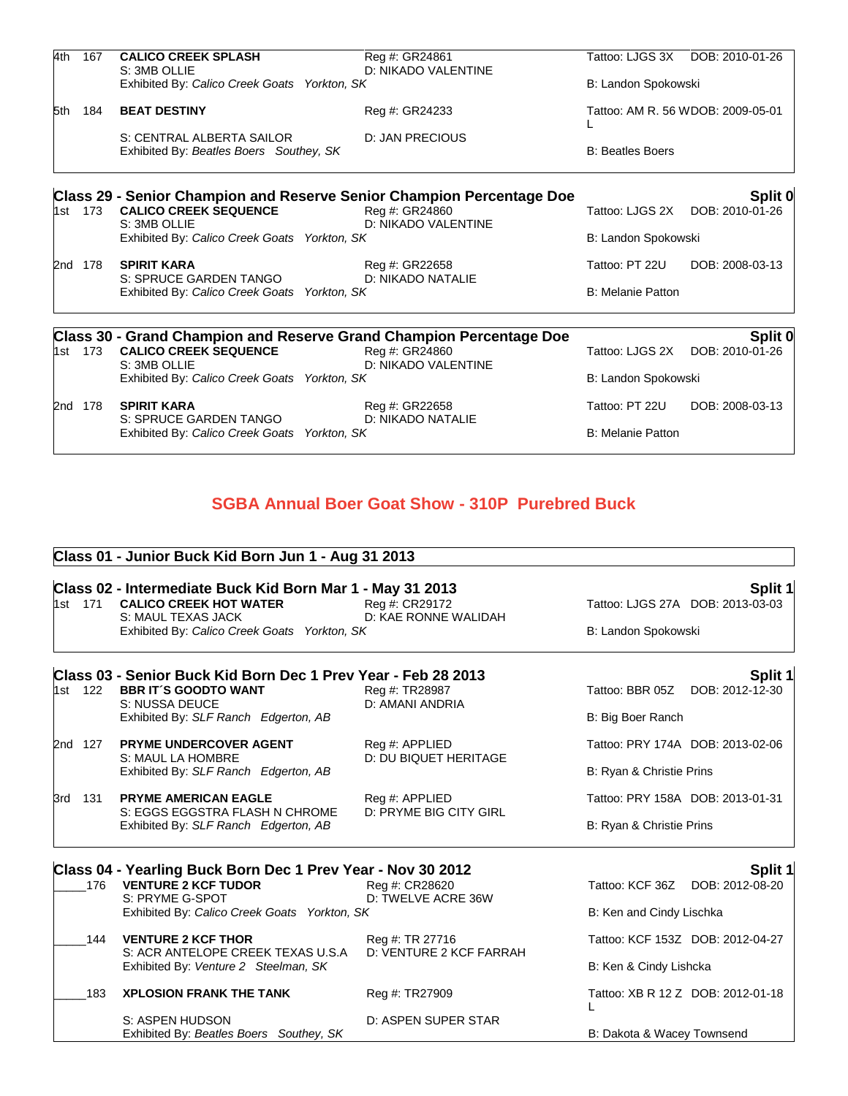| 4th   | 167     | <b>CALICO CREEK SPLASH</b>                                             | Reg #: GR24861                                                                        | Tattoo: LJGS 3X          | DOB: 2010-01-26                   |
|-------|---------|------------------------------------------------------------------------|---------------------------------------------------------------------------------------|--------------------------|-----------------------------------|
|       |         | S: 3MB OLLIE<br>Exhibited By: Calico Creek Goats Yorkton, SK           | D: NIKADO VALENTINE                                                                   | B: Landon Spokowski      |                                   |
| 5th   | 184     | <b>BEAT DESTINY</b>                                                    | Reg #: GR24233                                                                        |                          | Tattoo: AM R. 56 WDOB: 2009-05-01 |
|       |         | S: CENTRAL ALBERTA SAILOR                                              | <b>D: JAN PRECIOUS</b>                                                                |                          |                                   |
|       |         | Exhibited By: Beatles Boers Southey, SK                                |                                                                                       | <b>B: Beatles Boers</b>  |                                   |
|       |         |                                                                        | <b>Class 29 - Senior Champion and Reserve Senior Champion Percentage Doe</b>          |                          | Split 0                           |
| 1st   | 173     | <b>CALICO CREEK SEQUENCE</b><br>S: 3MB OLLIE                           | Reg #: GR24860<br>D: NIKADO VALENTINE                                                 | Tattoo: LJGS 2X          | DOB: 2010-01-26                   |
|       |         | Exhibited By: Calico Creek Goats Yorkton, SK                           |                                                                                       | B: Landon Spokowski      |                                   |
|       | 2nd 178 | <b>SPIRIT KARA</b>                                                     | Reg #: GR22658                                                                        | Tattoo: PT 22U           | DOB: 2008-03-13                   |
|       |         | S: SPRUCE GARDEN TANGO<br>Exhibited By: Calico Creek Goats Yorkton, SK | D: NIKADO NATALIE                                                                     | <b>B: Melanie Patton</b> |                                   |
|       |         |                                                                        |                                                                                       |                          |                                   |
| 1st - | 173     | <b>CALICO CREEK SEQUENCE</b>                                           | Class 30 - Grand Champion and Reserve Grand Champion Percentage Doe<br>Reg #: GR24860 | Tattoo: LJGS 2X          | Split 0<br>DOB: 2010-01-26        |
|       |         | S: 3MB OLLIE<br>Exhibited By: Calico Creek Goats Yorkton, SK           | D: NIKADO VALENTINE                                                                   | B: Landon Spokowski      |                                   |
|       | 2nd 178 | <b>SPIRIT KARA</b><br>S: SPRUCE GARDEN TANGO                           | Reg #: GR22658<br>D: NIKADO NATALIE                                                   | Tattoo: PT 22U           | DOB: 2008-03-13                   |
|       |         | Exhibited By: Calico Creek Goats Yorkton, SK                           |                                                                                       | <b>B: Melanie Patton</b> |                                   |

# **SGBA Annual Boer Goat Show - 310P Purebred Buck**

## **Class 01 - Junior Buck Kid Born Jun 1 - Aug 31 2013**

|         |         | Class 02 - Intermediate Buck Kid Born Mar 1 - May 31 2013      |                                                |                            | Split 1                           |
|---------|---------|----------------------------------------------------------------|------------------------------------------------|----------------------------|-----------------------------------|
|         |         | 1st 171 CALICO CREEK HOT WATER<br>S: MAUL TEXAS JACK           | Reg #: CR29172<br>D: KAE RONNE WALIDAH         |                            | Tattoo: LJGS 27A DOB: 2013-03-03  |
|         |         | Exhibited By: Calico Creek Goats Yorkton, SK                   |                                                | B: Landon Spokowski        |                                   |
|         |         | Class 03 - Senior Buck Kid Born Dec 1 Prev Year - Feb 28 2013  |                                                |                            | Split 1                           |
|         | 1st 122 | <b>BBR IT'S GOODTO WANT</b><br>S: NUSSA DEUCE                  | Reg #: TR28987<br>D: AMANI ANDRIA              |                            | Tattoo: BBR 05Z DOB: 2012-12-30   |
|         |         | Exhibited By: SLF Ranch Edgerton, AB                           |                                                | B: Big Boer Ranch          |                                   |
| 2nd 127 |         | <b>PRYME UNDERCOVER AGENT</b><br>S: MAUL LA HOMBRE             | Reg #: APPLIED<br><b>D: DU BIQUET HERITAGE</b> |                            | Tattoo: PRY 174A DOB: 2013-02-06  |
|         |         | Exhibited By: SLF Ranch Edgerton, AB                           |                                                | B: Ryan & Christie Prins   |                                   |
| 3rd 131 |         | <b>PRYME AMERICAN EAGLE</b><br>S: EGGS EGGSTRA FLASH N CHROME  | Reg #: APPLIED<br>D: PRYME BIG CITY GIRL       |                            | Tattoo: PRY 158A DOB: 2013-01-31  |
|         |         | Exhibited By: SLF Ranch Edgerton, AB                           |                                                | B: Ryan & Christie Prins   |                                   |
|         |         | Class 04 - Yearling Buck Born Dec 1 Prev Year - Nov 30 2012    |                                                |                            | Split 1                           |
|         | 176     | <b>VENTURE 2 KCF TUDOR</b><br>S: PRYME G-SPOT                  | Reg #: CR28620<br>D: TWELVE ACRE 36W           |                            | Tattoo: KCF 36Z DOB: 2012-08-20   |
|         |         | Exhibited By: Calico Creek Goats Yorkton, SK                   |                                                | B: Ken and Cindy Lischka   |                                   |
|         | 144     | <b>VENTURE 2 KCF THOR</b><br>S: ACR ANTELOPE CREEK TEXAS U.S.A | Reg #: TR 27716<br>D: VENTURE 2 KCF FARRAH     |                            | Tattoo: KCF 153Z DOB: 2012-04-27  |
|         |         | Exhibited By: Venture 2 Steelman, SK                           |                                                | B: Ken & Cindy Lishcka     |                                   |
|         | 183     | <b>XPLOSION FRANK THE TANK</b>                                 | Reg #: TR27909                                 |                            | Tattoo: XB R 12 Z DOB: 2012-01-18 |
|         |         | S: ASPEN HUDSON<br>Exhibited By: Beatles Boers Southey, SK     | D: ASPEN SUPER STAR                            | B: Dakota & Wacey Townsend |                                   |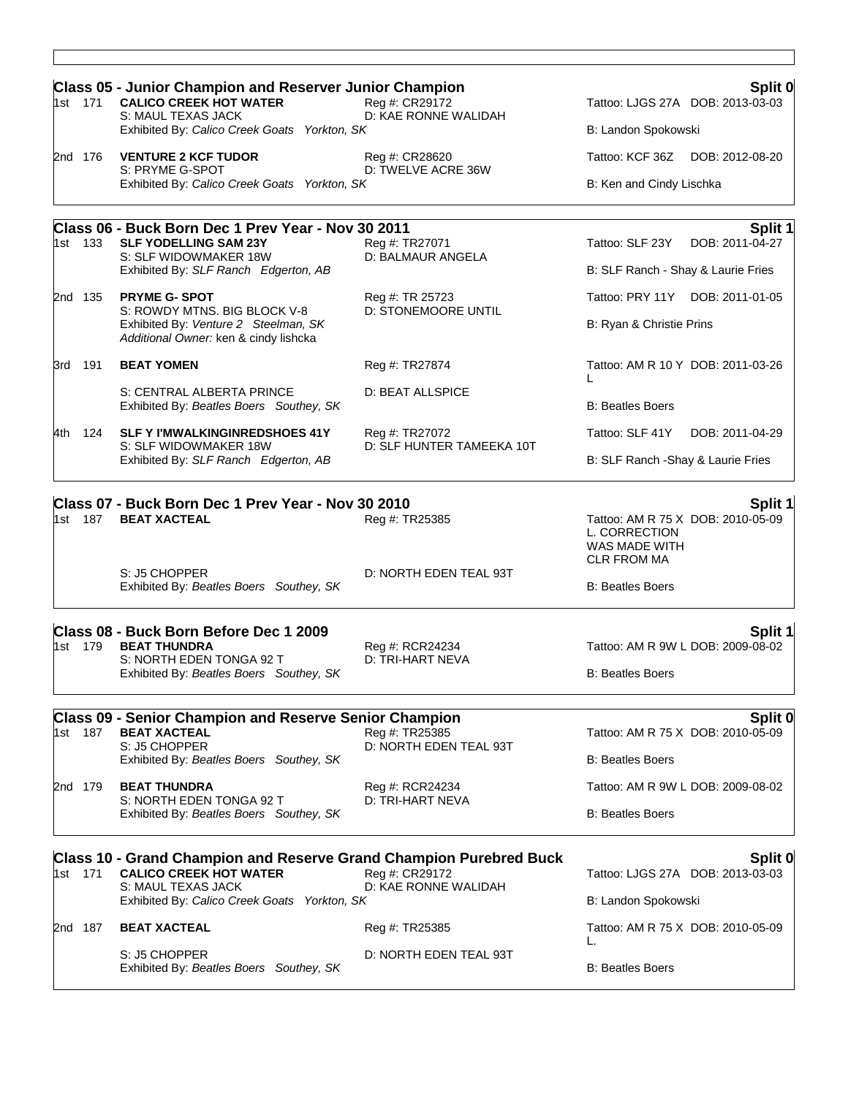| 1st 171 | <b>Class 05 - Junior Champion and Reserver Junior Champion</b><br><b>CALICO CREEK HOT WATER</b><br>S: MAUL TEXAS JACK | Reg #: CR29172<br>D: KAE RONNE WALIDAH      | Split 0<br>Tattoo: LJGS 27A DOB: 2013-03-03                                               |
|---------|-----------------------------------------------------------------------------------------------------------------------|---------------------------------------------|-------------------------------------------------------------------------------------------|
|         | Exhibited By: Calico Creek Goats Yorkton, SK                                                                          |                                             | B: Landon Spokowski                                                                       |
| 2nd 176 | <b>VENTURE 2 KCF TUDOR</b>                                                                                            | Reg #: CR28620                              | Tattoo: KCF 36Z<br>DOB: 2012-08-20                                                        |
|         | S: PRYME G-SPOT<br>Exhibited By: Calico Creek Goats Yorkton, SK                                                       | D: TWELVE ACRE 36W                          | B: Ken and Cindy Lischka                                                                  |
|         | Class 06 - Buck Born Dec 1 Prev Year - Nov 30 2011                                                                    |                                             | Split 1                                                                                   |
| 1st 133 | <b>SLF YODELLING SAM 23Y</b><br>S: SLF WIDOWMAKER 18W                                                                 | Reg #: TR27071<br>D: BALMAUR ANGELA         | Tattoo: SLF 23Y<br>DOB: 2011-04-27                                                        |
|         | Exhibited By: SLF Ranch Edgerton, AB                                                                                  |                                             | B: SLF Ranch - Shay & Laurie Fries                                                        |
| 2nd 135 | <b>PRYME G- SPOT</b><br>S: ROWDY MTNS. BIG BLOCK V-8                                                                  | Reg #: TR 25723<br>D: STONEMOORE UNTIL      | Tattoo: PRY 11Y DOB: 2011-01-05                                                           |
|         | Exhibited By: Venture 2 Steelman, SK<br>Additional Owner: ken & cindy lishcka                                         |                                             | B: Ryan & Christie Prins                                                                  |
| 3rd 191 | <b>BEAT YOMEN</b>                                                                                                     | Reg #: TR27874                              | Tattoo: AM R 10 Y DOB: 2011-03-26                                                         |
|         | S: CENTRAL ALBERTA PRINCE                                                                                             | D: BEAT ALLSPICE                            |                                                                                           |
|         | Exhibited By: Beatles Boers Southey, SK                                                                               |                                             | <b>B: Beatles Boers</b>                                                                   |
| 4th 124 | <b>SLF Y I'MWALKINGINREDSHOES 41Y</b><br>S: SLF WIDOWMAKER 18W                                                        | Reg #: TR27072<br>D: SLF HUNTER TAMEEKA 10T | Tattoo: SLF 41Y<br>DOB: 2011-04-29                                                        |
|         | Exhibited By: SLF Ranch Edgerton, AB                                                                                  |                                             | B: SLF Ranch - Shay & Laurie Fries                                                        |
|         | Class 07 - Buck Born Dec 1 Prev Year - Nov 30 2010                                                                    |                                             | Split 1                                                                                   |
| 1st 187 | <b>BEAT XACTEAL</b>                                                                                                   | Reg #: TR25385                              | Tattoo: AM R 75 X DOB: 2010-05-09<br>L. CORRECTION<br>WAS MADE WITH<br><b>CLR FROM MA</b> |
|         | S: J5 CHOPPER<br>Exhibited By: Beatles Boers Southey, SK                                                              | D: NORTH EDEN TEAL 93T                      | <b>B: Beatles Boers</b>                                                                   |
|         | Class 08 - Buck Born Before Dec 1 2009                                                                                |                                             | <b>Split 1</b>                                                                            |
| 1st 179 | <b>BEAT THUNDRA</b><br>S: NORTH EDEN TONGA 92 T                                                                       | Reg #: RCR24234<br>D: TRI-HART NEVA         | Tattoo: AM R 9W L DOB: 2009-08-02                                                         |
|         | Exhibited By: Beatles Boers Southey, SK                                                                               |                                             | <b>B: Beatles Boers</b>                                                                   |
|         | <b>Class 09 - Senior Champion and Reserve Senior Champion</b>                                                         |                                             | Split 0                                                                                   |
| 1st 187 | <b>BEAT XACTEAL</b><br>S: J5 CHOPPER                                                                                  | Reg #: TR25385<br>D: NORTH EDEN TEAL 93T    | Tattoo: AM R 75 X DOB: 2010-05-09                                                         |
|         | Exhibited By: Beatles Boers Southey, SK                                                                               |                                             | <b>B: Beatles Boers</b>                                                                   |
| 2nd 179 | <b>BEAT THUNDRA</b><br>S: NORTH EDEN TONGA 92 T                                                                       | Reg #: RCR24234<br>D: TRI-HART NEVA         | Tattoo: AM R 9W L DOB: 2009-08-02                                                         |
|         | Exhibited By: Beatles Boers Southey, SK                                                                               |                                             | <b>B: Beatles Boers</b>                                                                   |
|         | <b>Class 10 - Grand Champion and Reserve Grand Champion Purebred Buck</b>                                             | Reg #: CR29172                              | Split 0<br>Tattoo: LJGS 27A DOB: 2013-03-03                                               |
| 1st 171 | <b>CALICO CREEK HOT WATER</b><br>S: MAUL TEXAS JACK                                                                   | D: KAE RONNE WALIDAH                        |                                                                                           |
|         | Exhibited By: Calico Creek Goats Yorkton, SK                                                                          |                                             | B: Landon Spokowski                                                                       |
| 2nd 187 | <b>BEAT XACTEAL</b>                                                                                                   | Reg #: TR25385                              | Tattoo: AM R 75 X DOB: 2010-05-09<br>L.                                                   |
|         | S: J5 CHOPPER<br>Exhibited By: Beatles Boers Southey, SK                                                              | D: NORTH EDEN TEAL 93T                      | <b>B: Beatles Boers</b>                                                                   |